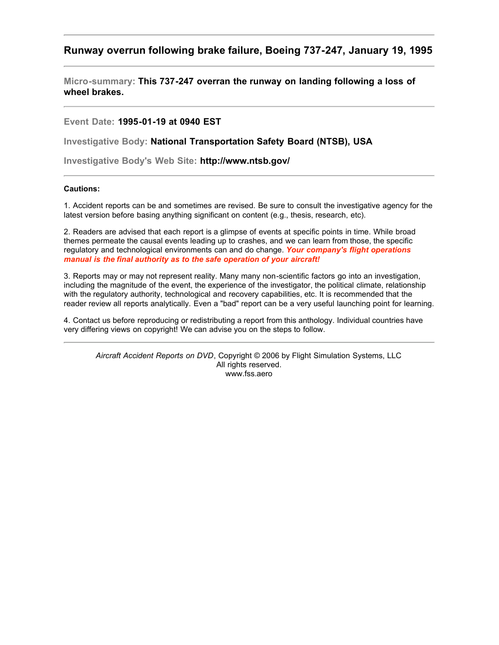# **Runway overrun following brake failure, Boeing 737-247, January 19, 1995**

**Micro-summary: This 737-247 overran the runway on landing following a loss of wheel brakes.**

## **Event Date: 1995-01-19 at 0940 EST**

**Investigative Body: National Transportation Safety Board (NTSB), USA**

**Investigative Body's Web Site: http://www.ntsb.gov/**

### **Cautions:**

1. Accident reports can be and sometimes are revised. Be sure to consult the investigative agency for the latest version before basing anything significant on content (e.g., thesis, research, etc).

2. Readers are advised that each report is a glimpse of events at specific points in time. While broad themes permeate the causal events leading up to crashes, and we can learn from those, the specific regulatory and technological environments can and do change. *Your company's flight operations manual is the final authority as to the safe operation of your aircraft!*

3. Reports may or may not represent reality. Many many non-scientific factors go into an investigation, including the magnitude of the event, the experience of the investigator, the political climate, relationship with the regulatory authority, technological and recovery capabilities, etc. It is recommended that the reader review all reports analytically. Even a "bad" report can be a very useful launching point for learning.

4. Contact us before reproducing or redistributing a report from this anthology. Individual countries have very differing views on copyright! We can advise you on the steps to follow.

*Aircraft Accident Reports on DVD*, Copyright © 2006 by Flight Simulation Systems, LLC All rights reserved. www.fss.aero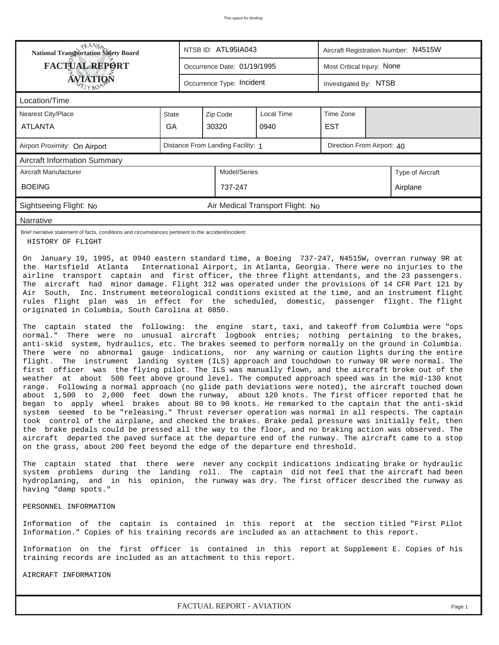| <b>National Transportation Safety Board</b>                                                                                                                                                                                                                                                                                                                                                                                                                                                                                                                                                                                                                                                                                                                                                                                                                                                                                                                                                                                                                                                                                                                                                                                                                                                                                                                                                                                                                                                                                                                                                                                                                                                                                                                                                                                                                                                                                                                                                                                                                                                                                                                                                                                                                                                                                                                                                                                                                                                                                                                             |                                                                 |                             | NTSB ID: ATL95IA043                 |                                  | Aircraft Registration Number: N4515W |  |                  |  |  |
|-------------------------------------------------------------------------------------------------------------------------------------------------------------------------------------------------------------------------------------------------------------------------------------------------------------------------------------------------------------------------------------------------------------------------------------------------------------------------------------------------------------------------------------------------------------------------------------------------------------------------------------------------------------------------------------------------------------------------------------------------------------------------------------------------------------------------------------------------------------------------------------------------------------------------------------------------------------------------------------------------------------------------------------------------------------------------------------------------------------------------------------------------------------------------------------------------------------------------------------------------------------------------------------------------------------------------------------------------------------------------------------------------------------------------------------------------------------------------------------------------------------------------------------------------------------------------------------------------------------------------------------------------------------------------------------------------------------------------------------------------------------------------------------------------------------------------------------------------------------------------------------------------------------------------------------------------------------------------------------------------------------------------------------------------------------------------------------------------------------------------------------------------------------------------------------------------------------------------------------------------------------------------------------------------------------------------------------------------------------------------------------------------------------------------------------------------------------------------------------------------------------------------------------------------------------------------|-----------------------------------------------------------------|-----------------------------|-------------------------------------|----------------------------------|--------------------------------------|--|------------------|--|--|
| <b>FACTUAL REPORT</b>                                                                                                                                                                                                                                                                                                                                                                                                                                                                                                                                                                                                                                                                                                                                                                                                                                                                                                                                                                                                                                                                                                                                                                                                                                                                                                                                                                                                                                                                                                                                                                                                                                                                                                                                                                                                                                                                                                                                                                                                                                                                                                                                                                                                                                                                                                                                                                                                                                                                                                                                                   |                                                                 | Occurrence Date: 01/19/1995 |                                     | Most Critical Injury: None       |                                      |  |                  |  |  |
| <b>ÁVIATION</b><br>ETYBOP                                                                                                                                                                                                                                                                                                                                                                                                                                                                                                                                                                                                                                                                                                                                                                                                                                                                                                                                                                                                                                                                                                                                                                                                                                                                                                                                                                                                                                                                                                                                                                                                                                                                                                                                                                                                                                                                                                                                                                                                                                                                                                                                                                                                                                                                                                                                                                                                                                                                                                                                               |                                                                 |                             | Occurrence Type: Incident           |                                  | Investigated By: NTSB                |  |                  |  |  |
| Location/Time                                                                                                                                                                                                                                                                                                                                                                                                                                                                                                                                                                                                                                                                                                                                                                                                                                                                                                                                                                                                                                                                                                                                                                                                                                                                                                                                                                                                                                                                                                                                                                                                                                                                                                                                                                                                                                                                                                                                                                                                                                                                                                                                                                                                                                                                                                                                                                                                                                                                                                                                                           |                                                                 |                             |                                     |                                  |                                      |  |                  |  |  |
| <b>Nearest City/Place</b>                                                                                                                                                                                                                                                                                                                                                                                                                                                                                                                                                                                                                                                                                                                                                                                                                                                                                                                                                                                                                                                                                                                                                                                                                                                                                                                                                                                                                                                                                                                                                                                                                                                                                                                                                                                                                                                                                                                                                                                                                                                                                                                                                                                                                                                                                                                                                                                                                                                                                                                                               | State                                                           |                             | Zip Code<br>Local Time<br>Time Zone |                                  |                                      |  |                  |  |  |
| <b>ATLANTA</b>                                                                                                                                                                                                                                                                                                                                                                                                                                                                                                                                                                                                                                                                                                                                                                                                                                                                                                                                                                                                                                                                                                                                                                                                                                                                                                                                                                                                                                                                                                                                                                                                                                                                                                                                                                                                                                                                                                                                                                                                                                                                                                                                                                                                                                                                                                                                                                                                                                                                                                                                                          | GA                                                              |                             | 30320                               | 0940                             | <b>EST</b>                           |  |                  |  |  |
| Airport Proximity: On Airport                                                                                                                                                                                                                                                                                                                                                                                                                                                                                                                                                                                                                                                                                                                                                                                                                                                                                                                                                                                                                                                                                                                                                                                                                                                                                                                                                                                                                                                                                                                                                                                                                                                                                                                                                                                                                                                                                                                                                                                                                                                                                                                                                                                                                                                                                                                                                                                                                                                                                                                                           | Distance From Landing Facility: 1<br>Direction From Airport: 40 |                             |                                     |                                  |                                      |  |                  |  |  |
| <b>Aircraft Information Summary</b>                                                                                                                                                                                                                                                                                                                                                                                                                                                                                                                                                                                                                                                                                                                                                                                                                                                                                                                                                                                                                                                                                                                                                                                                                                                                                                                                                                                                                                                                                                                                                                                                                                                                                                                                                                                                                                                                                                                                                                                                                                                                                                                                                                                                                                                                                                                                                                                                                                                                                                                                     |                                                                 |                             |                                     |                                  |                                      |  |                  |  |  |
| Aircraft Manufacturer                                                                                                                                                                                                                                                                                                                                                                                                                                                                                                                                                                                                                                                                                                                                                                                                                                                                                                                                                                                                                                                                                                                                                                                                                                                                                                                                                                                                                                                                                                                                                                                                                                                                                                                                                                                                                                                                                                                                                                                                                                                                                                                                                                                                                                                                                                                                                                                                                                                                                                                                                   |                                                                 |                             | Model/Series                        |                                  |                                      |  | Type of Aircraft |  |  |
| <b>BOEING</b>                                                                                                                                                                                                                                                                                                                                                                                                                                                                                                                                                                                                                                                                                                                                                                                                                                                                                                                                                                                                                                                                                                                                                                                                                                                                                                                                                                                                                                                                                                                                                                                                                                                                                                                                                                                                                                                                                                                                                                                                                                                                                                                                                                                                                                                                                                                                                                                                                                                                                                                                                           |                                                                 |                             | 737-247                             |                                  |                                      |  | Airplane         |  |  |
| Sightseeing Flight: No                                                                                                                                                                                                                                                                                                                                                                                                                                                                                                                                                                                                                                                                                                                                                                                                                                                                                                                                                                                                                                                                                                                                                                                                                                                                                                                                                                                                                                                                                                                                                                                                                                                                                                                                                                                                                                                                                                                                                                                                                                                                                                                                                                                                                                                                                                                                                                                                                                                                                                                                                  |                                                                 |                             |                                     | Air Medical Transport Flight: No |                                      |  |                  |  |  |
| Narrative                                                                                                                                                                                                                                                                                                                                                                                                                                                                                                                                                                                                                                                                                                                                                                                                                                                                                                                                                                                                                                                                                                                                                                                                                                                                                                                                                                                                                                                                                                                                                                                                                                                                                                                                                                                                                                                                                                                                                                                                                                                                                                                                                                                                                                                                                                                                                                                                                                                                                                                                                               |                                                                 |                             |                                     |                                  |                                      |  |                  |  |  |
| Brief narrative statement of facts, conditions and circumstances pertinent to the accident/incident:<br>HISTORY OF FLIGHT                                                                                                                                                                                                                                                                                                                                                                                                                                                                                                                                                                                                                                                                                                                                                                                                                                                                                                                                                                                                                                                                                                                                                                                                                                                                                                                                                                                                                                                                                                                                                                                                                                                                                                                                                                                                                                                                                                                                                                                                                                                                                                                                                                                                                                                                                                                                                                                                                                               |                                                                 |                             |                                     |                                  |                                      |  |                  |  |  |
| On January 19, 1995, at 0940 eastern standard time, a Boeing 737-247, N4515W, overran runway 9R at<br>the Hartsfield Atlanta International Airport, in Atlanta, Georgia. There were no injuries to the<br>airline transport captain and first officer, the three flight attendants, and the 23 passengers.<br>The aircraft had minor damage. Flight 312 was operated under the provisions of 14 CFR Part 121 by<br>Air South, Inc. Instrument meteorological conditions existed at the time, and an instrument flight<br>rules flight plan was in effect for the scheduled, domestic, passenger flight. The flight<br>originated in Columbia, South Carolina at 0850.<br>The captain stated the following: the engine start, taxi, and takeoff from Columbia were "ops<br>normal." There were no unusual aircraft logbook entries; nothing pertaining to the brakes,<br>anti-skid system, hydraulics, etc. The brakes seemed to perform normally on the ground in Columbia.<br>There were no abnormal gauge indications, nor any warning or caution lights during the entire<br>flight. The instrument landing system (ILS) approach and touchdown to runway 9R were normal. The<br>first officer was the flying pilot. The ILS was manually flown, and the aircraft broke out of the<br>weather at about 500 feet above ground level. The computed approach speed was in the mid-130 knot<br>range. Following a normal approach (no glide path deviations were noted), the aircraft touched down<br>about 1,500 to 2,000 feet down the runway, about 120 knots. The first officer reported that he<br>began to apply wheel brakes about 80 to 90 knots. He remarked to the captain that the anti-skid<br>system seemed to be "releasing." Thrust reverser operation was normal in all respects. The captain<br>took control of the airplane, and checked the brakes. Brake pedal pressure was initially felt, then<br>the brake pedals could be pressed all the way to the floor, and no braking action was observed. The<br>aircraft departed the paved surface at the departure end of the runway. The aircraft came to a stop<br>on the grass, about 200 feet beyond the edge of the departure end threshold.<br>The captain stated that there were never any cockpit indications indicating brake or hydraulic<br>system problems during the landing roll. The captain did not feel that the aircraft had been<br>hydroplaning, and in his opinion, the runway was dry. The first officer described the runway as<br>having "damp spots."<br>PERSONNEL INFORMATION |                                                                 |                             |                                     |                                  |                                      |  |                  |  |  |
| Information of the captain is contained in this report at the section titled "First Pilot<br>Information." Copies of his training records are included as an attachment to this report.<br>Information on the first officer is contained in this report at Supplement E. Copies of his                                                                                                                                                                                                                                                                                                                                                                                                                                                                                                                                                                                                                                                                                                                                                                                                                                                                                                                                                                                                                                                                                                                                                                                                                                                                                                                                                                                                                                                                                                                                                                                                                                                                                                                                                                                                                                                                                                                                                                                                                                                                                                                                                                                                                                                                                  |                                                                 |                             |                                     |                                  |                                      |  |                  |  |  |
| training records are included as an attachment to this report.                                                                                                                                                                                                                                                                                                                                                                                                                                                                                                                                                                                                                                                                                                                                                                                                                                                                                                                                                                                                                                                                                                                                                                                                                                                                                                                                                                                                                                                                                                                                                                                                                                                                                                                                                                                                                                                                                                                                                                                                                                                                                                                                                                                                                                                                                                                                                                                                                                                                                                          |                                                                 |                             |                                     |                                  |                                      |  |                  |  |  |
| AIRCRAFT INFORMATION                                                                                                                                                                                                                                                                                                                                                                                                                                                                                                                                                                                                                                                                                                                                                                                                                                                                                                                                                                                                                                                                                                                                                                                                                                                                                                                                                                                                                                                                                                                                                                                                                                                                                                                                                                                                                                                                                                                                                                                                                                                                                                                                                                                                                                                                                                                                                                                                                                                                                                                                                    |                                                                 |                             |                                     |                                  |                                      |  |                  |  |  |

*FACTUAL REPORT - AVIATION Page 1*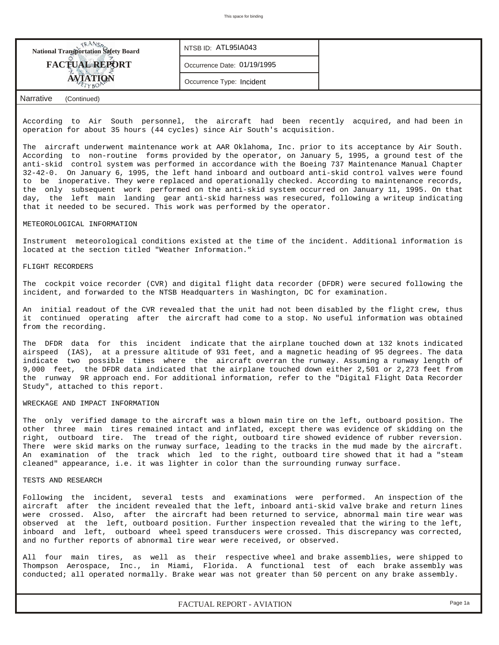| <b>National Transportation Safety Board</b> | NTSB ID: ATL95IA043         |  |
|---------------------------------------------|-----------------------------|--|
| <b>FACTUAL REPORT</b>                       | Occurrence Date: 01/19/1995 |  |
| <b>AVIATION</b>                             | Occurrence Type: Incident   |  |
| La sea Alvia -<br>$\sim$ $\sim$ $\sim$      |                             |  |

### *Narrative (Continued)*

According to Air South personnel, the aircraft had been recently acquired, and had been in operation for about 35 hours (44 cycles) since Air South's acquisition.

The aircraft underwent maintenance work at AAR Oklahoma, Inc. prior to its acceptance by Air South. According to non-routine forms provided by the operator, on January 5, 1995, a ground test of the anti-skid control system was performed in accordance with the Boeing 737 Maintenance Manual Chapter 32-42-0. On January 6, 1995, the left hand inboard and outboard anti-skid control valves were found to be inoperative. They were replaced and operationally checked. According to maintenance records, the only subsequent work performed on the anti-skid system occurred on January 11, 1995. On that day, the left main landing gear anti-skid harness was resecured, following a writeup indicating that it needed to be secured. This work was performed by the operator.

#### METEOROLOGICAL INFORMATION

Instrument meteorological conditions existed at the time of the incident. Additional information is located at the section titled "Weather Information."

#### FLIGHT RECORDERS

The cockpit voice recorder (CVR) and digital flight data recorder (DFDR) were secured following the incident, and forwarded to the NTSB Headquarters in Washington, DC for examination.

An initial readout of the CVR revealed that the unit had not been disabled by the flight crew, thus it continued operating after the aircraft had come to a stop. No useful information was obtained from the recording.

The DFDR data for this incident indicate that the airplane touched down at 132 knots indicated airspeed (IAS), at a pressure altitude of 931 feet, and a magnetic heading of 95 degrees. The data indicate two possible times where the aircraft overran the runway. Assuming a runway length of 9,000 feet, the DFDR data indicated that the airplane touched down either 2,501 or 2,273 feet from the runway 9R approach end. For additional information, refer to the "Digital Flight Data Recorder Study", attached to this report.

#### WRECKAGE AND IMPACT INFORMATION

The only verified damage to the aircraft was a blown main tire on the left, outboard position. The other three main tires remained intact and inflated, except there was evidence of skidding on the right, outboard tire. The tread of the right, outboard tire showed evidence of rubber reversion. There were skid marks on the runway surface, leading to the tracks in the mud made by the aircraft. An examination of the track which led to the right, outboard tire showed that it had a "steam cleaned" appearance, i.e. it was lighter in color than the surrounding runway surface.

#### TESTS AND RESEARCH

Following the incident, several tests and examinations were performed. An inspection of the aircraft after the incident revealed that the left, inboard anti-skid valve brake and return lines were crossed. Also, after the aircraft had been returned to service, abnormal main tire wear was observed at the left, outboard position. Further inspection revealed that the wiring to the left, inboard and left, outboard wheel speed transducers were crossed. This discrepancy was corrected, and no further reports of abnormal tire wear were received, or observed.

All four main tires, as well as their respective wheel and brake assemblies, were shipped to Thompson Aerospace, Inc., in Miami, Florida. A functional test of each brake assembly was conducted; all operated normally. Brake wear was not greater than 50 percent on any brake assembly.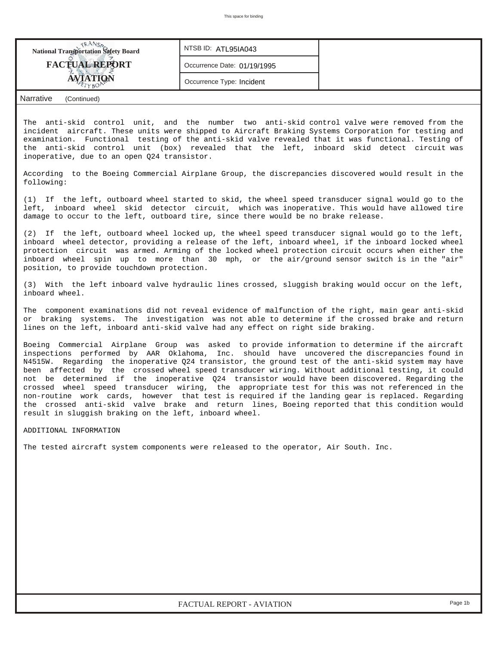| <b>National Transportation Safety Board</b> | , NTSB ID: ATL95IA043       |  |
|---------------------------------------------|-----------------------------|--|
| <b>FACTUAL REPORT</b>                       | Occurrence Date: 01/19/1995 |  |
|                                             | Occurrence Type: Incident   |  |
| <b>Narrative</b><br>(Continued)             |                             |  |

The anti-skid control unit, and the number two anti-skid control valve were removed from the incident aircraft. These units were shipped to Aircraft Braking Systems Corporation for testing and examination. Functional testing of the anti-skid valve revealed that it was functional. Testing of the anti-skid control unit (box) revealed that the left, inboard skid detect circuit was inoperative, due to an open Q24 transistor.

According to the Boeing Commercial Airplane Group, the discrepancies discovered would result in the following:

(1) If the left, outboard wheel started to skid, the wheel speed transducer signal would go to the left, inboard wheel skid detector circuit, which was inoperative. This would have allowed tire damage to occur to the left, outboard tire, since there would be no brake release.

(2) If the left, outboard wheel locked up, the wheel speed transducer signal would go to the left, inboard wheel detector, providing a release of the left, inboard wheel, if the inboard locked wheel protection circuit was armed. Arming of the locked wheel protection circuit occurs when either the inboard wheel spin up to more than 30 mph, or the air/ground sensor switch is in the "air" position, to provide touchdown protection.

(3) With the left inboard valve hydraulic lines crossed, sluggish braking would occur on the left, inboard wheel.

The component examinations did not reveal evidence of malfunction of the right, main gear anti-skid or braking systems. The investigation was not able to determine if the crossed brake and return lines on the left, inboard anti-skid valve had any effect on right side braking.

Boeing Commercial Airplane Group was asked to provide information to determine if the aircraft inspections performed by AAR Oklahoma, Inc. should have uncovered the discrepancies found in N4515W. Regarding the inoperative Q24 transistor, the ground test of the anti-skid system may have been affected by the crossed wheel speed transducer wiring. Without additional testing, it could not be determined if the inoperative Q24 transistor would have been discovered. Regarding the crossed wheel speed transducer wiring, the appropriate test for this was not referenced in the non-routine work cards, however that test is required if the landing gear is replaced. Regarding the crossed anti-skid valve brake and return lines, Boeing reported that this condition would result in sluggish braking on the left, inboard wheel.

#### ADDITIONAL INFORMATION

The tested aircraft system components were released to the operator, Air South. Inc.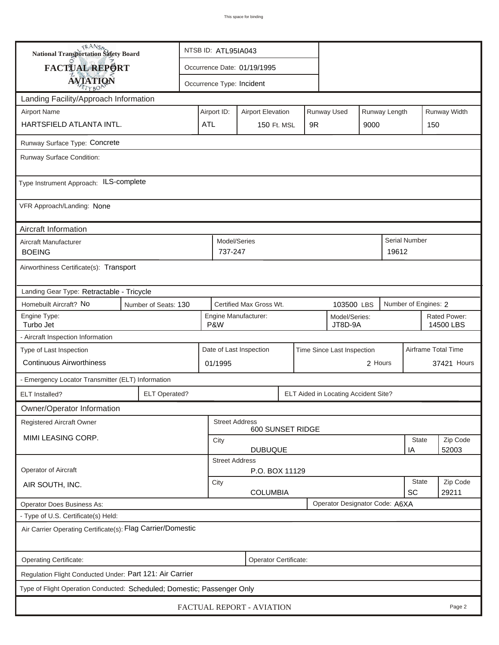| <b>National Transportation Safety Board</b>                             |            | NTSB ID: ATL95IA043         |                                                                         |                           |    |  |                                      |                     |       |                           |                   |  |
|-------------------------------------------------------------------------|------------|-----------------------------|-------------------------------------------------------------------------|---------------------------|----|--|--------------------------------------|---------------------|-------|---------------------------|-------------------|--|
| FACTUAL REPORT                                                          |            | Occurrence Date: 01/19/1995 |                                                                         |                           |    |  |                                      |                     |       |                           |                   |  |
| <b>AVIATION</b>                                                         |            |                             |                                                                         | Occurrence Type: Incident |    |  |                                      |                     |       |                           |                   |  |
| Landing Facility/Approach Information                                   |            |                             |                                                                         |                           |    |  |                                      |                     |       |                           |                   |  |
| <b>Airport Name</b>                                                     |            |                             | Runway Used<br>Runway Length<br>Airport ID:<br><b>Airport Elevation</b> |                           |    |  |                                      |                     |       |                           | Runway Width      |  |
| HARTSFIELD ATLANTA INTL.                                                | <b>ATL</b> |                             | 150 Ft. MSL                                                             |                           | 9R |  | 9000                                 |                     | 150   |                           |                   |  |
| Runway Surface Type: Concrete                                           |            |                             |                                                                         |                           |    |  |                                      |                     |       |                           |                   |  |
| Runway Surface Condition:                                               |            |                             |                                                                         |                           |    |  |                                      |                     |       |                           |                   |  |
| Type Instrument Approach: ILS-complete                                  |            |                             |                                                                         |                           |    |  |                                      |                     |       |                           |                   |  |
| VFR Approach/Landing: None                                              |            |                             |                                                                         |                           |    |  |                                      |                     |       |                           |                   |  |
| Aircraft Information                                                    |            |                             |                                                                         |                           |    |  |                                      |                     |       |                           |                   |  |
| Aircraft Manufacturer<br><b>BOEING</b>                                  |            |                             | Model/Series<br>737-247                                                 |                           |    |  |                                      |                     | 19612 | <b>Serial Number</b>      |                   |  |
| Airworthiness Certificate(s): Transport                                 |            |                             |                                                                         |                           |    |  |                                      |                     |       |                           |                   |  |
| Landing Gear Type: Retractable - Tricycle                               |            |                             |                                                                         |                           |    |  |                                      |                     |       |                           |                   |  |
| Homebuilt Aircraft? No<br>Number of Seats: 130                          |            |                             |                                                                         | Certified Max Gross Wt.   |    |  | 103500 LBS                           |                     |       | Number of Engines: 2      |                   |  |
| Engine Type:<br>Turbo Jet                                               |            |                             | Engine Manufacturer:<br>Model/Series:<br>P&W<br>JT8D-9A                 |                           |    |  |                                      |                     |       | Rated Power:<br>14500 LBS |                   |  |
| - Aircraft Inspection Information                                       |            |                             |                                                                         |                           |    |  |                                      |                     |       |                           |                   |  |
| Type of Last Inspection<br><b>Continuous Airworthiness</b>              |            |                             | Date of Last Inspection<br>Time Since Last Inspection<br>2 Hours        |                           |    |  |                                      | Airframe Total Time |       |                           |                   |  |
|                                                                         |            |                             | 01/1995                                                                 |                           |    |  |                                      |                     |       |                           | 37421 Hours       |  |
| - Emergency Locator Transmitter (ELT) Information                       |            |                             |                                                                         |                           |    |  |                                      |                     |       |                           |                   |  |
| <b>ELT Operated?</b><br>ELT Installed?                                  |            |                             |                                                                         |                           |    |  | ELT Aided in Locating Accident Site? |                     |       |                           |                   |  |
| Owner/Operator Information                                              |            |                             |                                                                         |                           |    |  |                                      |                     |       |                           |                   |  |
| Registered Aircraft Owner                                               |            |                             | <b>Street Address</b>                                                   | 600 SUNSET RIDGE          |    |  |                                      |                     |       |                           |                   |  |
| MIMI LEASING CORP.                                                      |            |                             | City<br><b>DUBUQUE</b>                                                  |                           |    |  |                                      |                     |       | <b>State</b><br>ΙA        | Zip Code<br>52003 |  |
|                                                                         |            |                             | <b>Street Address</b>                                                   |                           |    |  |                                      |                     |       |                           |                   |  |
| Operator of Aircraft                                                    |            |                             |                                                                         | P.O. BOX 11129            |    |  |                                      |                     |       |                           |                   |  |
| AIR SOUTH, INC.                                                         |            |                             | <b>State</b><br>City<br>SC<br><b>COLUMBIA</b>                           |                           |    |  |                                      |                     |       | Zip Code<br>29211         |                   |  |
| <b>Operator Does Business As:</b>                                       |            |                             |                                                                         |                           |    |  | Operator Designator Code: A6XA       |                     |       |                           |                   |  |
| - Type of U.S. Certificate(s) Held:                                     |            |                             |                                                                         |                           |    |  |                                      |                     |       |                           |                   |  |
| Air Carrier Operating Certificate(s): Flag Carrier/Domestic             |            |                             |                                                                         |                           |    |  |                                      |                     |       |                           |                   |  |
| Operating Certificate:<br>Operator Certificate:                         |            |                             |                                                                         |                           |    |  |                                      |                     |       |                           |                   |  |
| Regulation Flight Conducted Under: Part 121: Air Carrier                |            |                             |                                                                         |                           |    |  |                                      |                     |       |                           |                   |  |
| Type of Flight Operation Conducted: Scheduled; Domestic; Passenger Only |            |                             |                                                                         |                           |    |  |                                      |                     |       |                           |                   |  |
| FACTUAL REPORT - AVIATION<br>Page 2                                     |            |                             |                                                                         |                           |    |  |                                      |                     |       |                           |                   |  |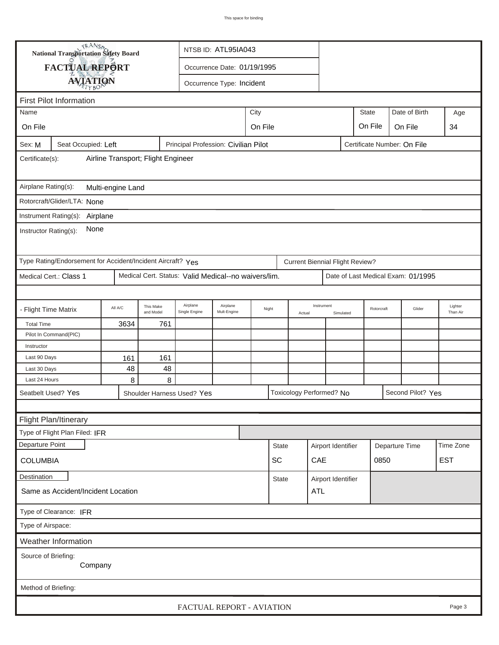|                                                       | <b>National Transportation Safety Board</b><br>NTSB ID: ATL95IA043 |         |                        |                                                      |                             |         |              |        |                                        |                    |                             |                        |                                    |                     |
|-------------------------------------------------------|--------------------------------------------------------------------|---------|------------------------|------------------------------------------------------|-----------------------------|---------|--------------|--------|----------------------------------------|--------------------|-----------------------------|------------------------|------------------------------------|---------------------|
|                                                       | FACTUAL REPORT                                                     |         |                        |                                                      | Occurrence Date: 01/19/1995 |         |              |        |                                        |                    |                             |                        |                                    |                     |
|                                                       | <b>AVIATION</b>                                                    |         |                        |                                                      | Occurrence Type: Incident   |         |              |        |                                        |                    |                             |                        |                                    |                     |
|                                                       |                                                                    |         |                        |                                                      |                             |         |              |        |                                        |                    |                             |                        |                                    |                     |
|                                                       | <b>First Pilot Information</b><br><b>State</b><br>Date of Birth    |         |                        |                                                      |                             |         |              |        |                                        |                    |                             |                        |                                    |                     |
| Name                                                  |                                                                    |         |                        |                                                      |                             | City    |              |        |                                        |                    |                             |                        |                                    | Age                 |
| On File                                               |                                                                    |         |                        |                                                      |                             | On File |              |        |                                        |                    | On File                     |                        | On File                            | 34                  |
| Sex: M                                                | Seat Occupied: Left                                                |         |                        | Principal Profession: Civilian Pilot                 |                             |         |              |        |                                        |                    | Certificate Number: On File |                        |                                    |                     |
| Airline Transport; Flight Engineer<br>Certificate(s): |                                                                    |         |                        |                                                      |                             |         |              |        |                                        |                    |                             |                        |                                    |                     |
| Airplane Rating(s):<br>Multi-engine Land              |                                                                    |         |                        |                                                      |                             |         |              |        |                                        |                    |                             |                        |                                    |                     |
|                                                       | Rotorcraft/Glider/LTA: None                                        |         |                        |                                                      |                             |         |              |        |                                        |                    |                             |                        |                                    |                     |
|                                                       | Instrument Rating(s): Airplane                                     |         |                        |                                                      |                             |         |              |        |                                        |                    |                             |                        |                                    |                     |
| None<br>Instructor Rating(s):                         |                                                                    |         |                        |                                                      |                             |         |              |        |                                        |                    |                             |                        |                                    |                     |
|                                                       | Type Rating/Endorsement for Accident/Incident Aircraft? Yes        |         |                        |                                                      |                             |         |              |        | <b>Current Biennial Flight Review?</b> |                    |                             |                        |                                    |                     |
|                                                       | Medical Cert.: Class 1                                             |         |                        | Medical Cert. Status: Valid Medical--no waivers/lim. |                             |         |              |        |                                        |                    |                             |                        | Date of Last Medical Exam: 01/1995 |                     |
|                                                       |                                                                    |         |                        |                                                      |                             |         |              |        |                                        |                    |                             |                        |                                    |                     |
| - Flight Time Matrix                                  |                                                                    | All A/C | This Make<br>and Model | Airplane<br>Single Engine                            | Airplane<br>Mult-Engine     |         | Night        | Actual | Instrument                             | Simulated          | Rotorcraft                  |                        | Glider                             | Lighter<br>Than Air |
| <b>Total Time</b>                                     |                                                                    | 3634    | 761                    |                                                      |                             |         |              |        |                                        |                    |                             |                        |                                    |                     |
|                                                       | Pilot In Command(PIC)                                              |         |                        |                                                      |                             |         |              |        |                                        |                    |                             |                        |                                    |                     |
| Instructor                                            |                                                                    |         |                        |                                                      |                             |         |              |        |                                        |                    |                             |                        |                                    |                     |
| Last 90 Days                                          |                                                                    | 161     | 161                    |                                                      |                             |         |              |        |                                        |                    |                             |                        |                                    |                     |
| Last 30 Days<br>Last 24 Hours                         |                                                                    | 48<br>8 | 48<br>8                |                                                      |                             |         |              |        |                                        |                    |                             |                        |                                    |                     |
| Seatbelt Used? Yes                                    |                                                                    |         |                        |                                                      |                             |         |              |        | Toxicology Performed? No               |                    |                             |                        | Second Pilot? Yes                  |                     |
|                                                       |                                                                    |         |                        | Shoulder Harness Used? Yes                           |                             |         |              |        |                                        |                    |                             |                        |                                    |                     |
|                                                       |                                                                    |         |                        |                                                      |                             |         |              |        |                                        |                    |                             |                        |                                    |                     |
|                                                       | Flight Plan/Itinerary<br>Type of Flight Plan Filed: IFR            |         |                        |                                                      |                             |         |              |        |                                        |                    |                             |                        |                                    |                     |
| Departure Point                                       |                                                                    |         |                        |                                                      |                             |         | <b>State</b> |        | Airport Identifier                     |                    |                             |                        |                                    | Time Zone           |
|                                                       |                                                                    |         |                        |                                                      |                             |         | SC           |        | CAE                                    |                    |                             | Departure Time<br>0850 |                                    | <b>EST</b>          |
| <b>COLUMBIA</b>                                       |                                                                    |         |                        |                                                      |                             |         |              |        |                                        |                    |                             |                        |                                    |                     |
| Destination<br>Same as Accident/Incident Location     |                                                                    |         |                        |                                                      |                             |         | <b>State</b> |        | ATL                                    | Airport Identifier |                             |                        |                                    |                     |
| Type of Clearance: IFR                                |                                                                    |         |                        |                                                      |                             |         |              |        |                                        |                    |                             |                        |                                    |                     |
| Type of Airspace:                                     |                                                                    |         |                        |                                                      |                             |         |              |        |                                        |                    |                             |                        |                                    |                     |
|                                                       | Weather Information                                                |         |                        |                                                      |                             |         |              |        |                                        |                    |                             |                        |                                    |                     |
| Source of Briefing:<br>Company                        |                                                                    |         |                        |                                                      |                             |         |              |        |                                        |                    |                             |                        |                                    |                     |
| Method of Briefing:                                   |                                                                    |         |                        |                                                      |                             |         |              |        |                                        |                    |                             |                        |                                    |                     |
| FACTUAL REPORT - AVIATION<br>Page 3                   |                                                                    |         |                        |                                                      |                             |         |              |        |                                        |                    |                             |                        |                                    |                     |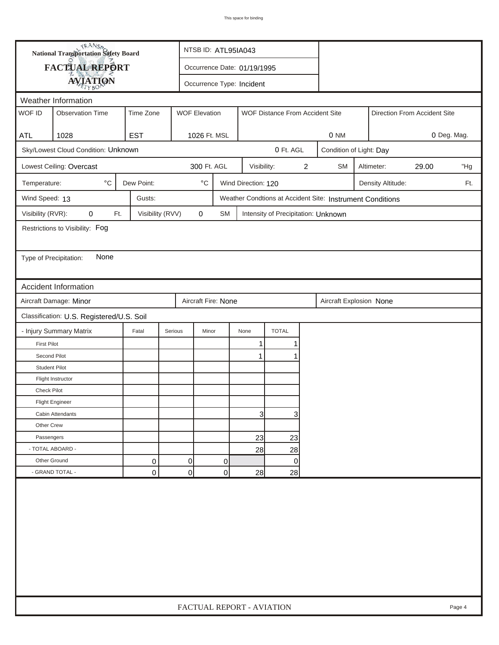|                                     | <b>National Transportation Safety Board</b> |                  |                             | NTSB ID: ATL95IA043       |                     |                                     |   |                                                           |             |                   |                              |     |
|-------------------------------------|---------------------------------------------|------------------|-----------------------------|---------------------------|---------------------|-------------------------------------|---|-----------------------------------------------------------|-------------|-------------------|------------------------------|-----|
|                                     | FACTUAL REPORT                              |                  | Occurrence Date: 01/19/1995 |                           |                     |                                     |   |                                                           |             |                   |                              |     |
|                                     | <b>AVIATION</b>                             |                  |                             | Occurrence Type: Incident |                     |                                     |   |                                                           |             |                   |                              |     |
|                                     | Weather Information                         |                  |                             |                           |                     |                                     |   |                                                           |             |                   |                              |     |
| WOF ID                              | <b>Observation Time</b>                     | Time Zone        | <b>WOF Elevation</b>        |                           |                     | WOF Distance From Accident Site     |   |                                                           |             |                   | Direction From Accident Site |     |
| ATL                                 | 1028                                        | <b>EST</b>       |                             | 1026 Ft. MSL              |                     |                                     |   | 0 NM                                                      | 0 Deg. Mag. |                   |                              |     |
|                                     | Sky/Lowest Cloud Condition: Unknown         |                  |                             |                           |                     | 0 Ft. AGL                           |   | Condition of Light: Day                                   |             |                   |                              |     |
|                                     | Lowest Ceiling: Overcast                    |                  |                             | 300 Ft. AGL               | Visibility:         |                                     | 2 | <b>SM</b>                                                 |             | Altimeter:        | 29.00                        | "Hg |
| Temperature:                        | $^{\circ}$ C                                | Dew Point:       | $^\circ\mathrm{C}$          |                           | Wind Direction: 120 |                                     |   |                                                           |             | Density Altitude: |                              | Ft. |
| Wind Speed: 13                      |                                             | Gusts:           |                             |                           |                     |                                     |   | Weather Condtions at Accident Site: Instrument Conditions |             |                   |                              |     |
| Visibility (RVR):                   | 0<br>Ft.                                    | Visibility (RVV) | $\mathbf 0$                 | <b>SM</b>                 |                     | Intensity of Precipitation: Unknown |   |                                                           |             |                   |                              |     |
|                                     | Restrictions to Visibility: Fog             |                  |                             |                           |                     |                                     |   |                                                           |             |                   |                              |     |
| Type of Precipitation:              | None                                        |                  |                             |                           |                     |                                     |   |                                                           |             |                   |                              |     |
|                                     | Accident Information                        |                  |                             |                           |                     |                                     |   |                                                           |             |                   |                              |     |
|                                     | Aircraft Damage: Minor                      |                  |                             | Aircraft Fire: None       |                     |                                     |   | Aircraft Explosion None                                   |             |                   |                              |     |
|                                     | Classification: U.S. Registered/U.S. Soil   |                  |                             |                           |                     |                                     |   |                                                           |             |                   |                              |     |
|                                     | - Injury Summary Matrix                     | Fatal            | Serious                     | Minor                     | None                | <b>TOTAL</b>                        |   |                                                           |             |                   |                              |     |
| <b>First Pilot</b>                  |                                             |                  |                             |                           | 1                   |                                     |   |                                                           |             |                   |                              |     |
| Second Pilot                        |                                             |                  |                             |                           | $\mathbf{1}$        |                                     |   |                                                           |             |                   |                              |     |
| <b>Student Pilot</b>                |                                             |                  |                             |                           |                     |                                     |   |                                                           |             |                   |                              |     |
|                                     | Flight Instructor                           |                  |                             |                           |                     |                                     |   |                                                           |             |                   |                              |     |
| Check Pilot                         |                                             |                  |                             |                           |                     |                                     |   |                                                           |             |                   |                              |     |
|                                     | <b>Flight Engineer</b>                      |                  |                             |                           |                     |                                     |   |                                                           |             |                   |                              |     |
|                                     | Cabin Attendants                            |                  |                             |                           | 31                  | 3                                   |   |                                                           |             |                   |                              |     |
| Other Crew                          |                                             |                  |                             |                           |                     |                                     |   |                                                           |             |                   |                              |     |
| Passengers                          |                                             |                  |                             |                           | 23                  | 23                                  |   |                                                           |             |                   |                              |     |
| - TOTAL ABOARD -<br>Other Ground    |                                             |                  |                             |                           | 28                  | 28                                  |   |                                                           |             |                   |                              |     |
|                                     | - GRAND TOTAL -                             | 0<br>0           | 0<br>0                      | 0<br>0                    | 28                  | $\mathbf 0$<br>28                   |   |                                                           |             |                   |                              |     |
|                                     |                                             |                  |                             |                           |                     |                                     |   |                                                           |             |                   |                              |     |
| FACTUAL REPORT - AVIATION<br>Page 4 |                                             |                  |                             |                           |                     |                                     |   |                                                           |             |                   |                              |     |